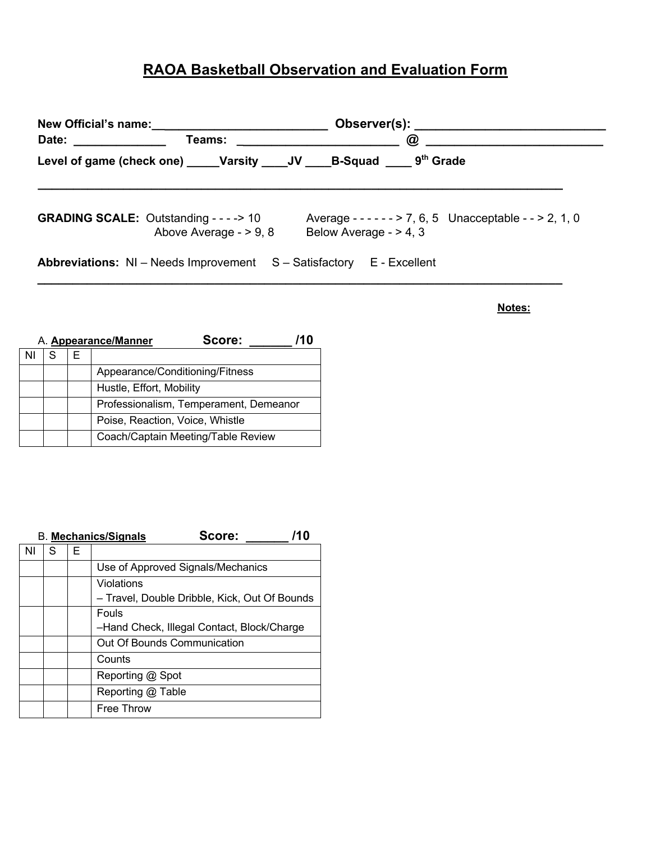## **RAOA Basketball Observation and Evaluation Form**

| Date: _______________                                                       |                        | Teams: ________________________ | $\omega$ | Observer(s): Network and the set of the set of the set of the set of the set of the set of the set of the set of the set of the set of the set of the set of the set of the set of the set of the set of the set of the set of |
|-----------------------------------------------------------------------------|------------------------|---------------------------------|----------|--------------------------------------------------------------------------------------------------------------------------------------------------------------------------------------------------------------------------------|
| Level of game (check one) _____Varsity _____JV _____B-Squad _____ 9th Grade |                        |                                 |          |                                                                                                                                                                                                                                |
| <b>GRADING SCALE:</b> Outstanding - - - -> 10                               | Above Average - > 9, 8 | Below Average - $> 4, 3$        |          | Average - - - - - - > 7, 6, 5 Unacceptable - - > 2, 1, 0                                                                                                                                                                       |
| Abbreviations: NI - Needs Improvement S - Satisfactory E - Excellent        |                        |                                 |          |                                                                                                                                                                                                                                |

**Notes:**

| A. <b>Appearance/Manner</b> |   |   | Score:                                 |  |
|-----------------------------|---|---|----------------------------------------|--|
|                             | S | ⊢ |                                        |  |
|                             |   |   | Appearance/Conditioning/Fitness        |  |
|                             |   |   | Hustle, Effort, Mobility               |  |
|                             |   |   | Professionalism, Temperament, Demeanor |  |
|                             |   |   | Poise, Reaction, Voice, Whistle        |  |
|                             |   |   | Coach/Captain Meeting/Table Review     |  |

|    |   |   | Score:<br>/10<br><b>B. Mechanics/Signals</b>  |
|----|---|---|-----------------------------------------------|
| ΝI | S | Е |                                               |
|    |   |   | Use of Approved Signals/Mechanics             |
|    |   |   | Violations                                    |
|    |   |   | - Travel, Double Dribble, Kick, Out Of Bounds |
|    |   |   | Fouls                                         |
|    |   |   | -Hand Check, Illegal Contact, Block/Charge    |
|    |   |   | Out Of Bounds Communication                   |
|    |   |   | Counts                                        |
|    |   |   | Reporting @ Spot                              |
|    |   |   | Reporting @ Table                             |
|    |   |   | Free Throw                                    |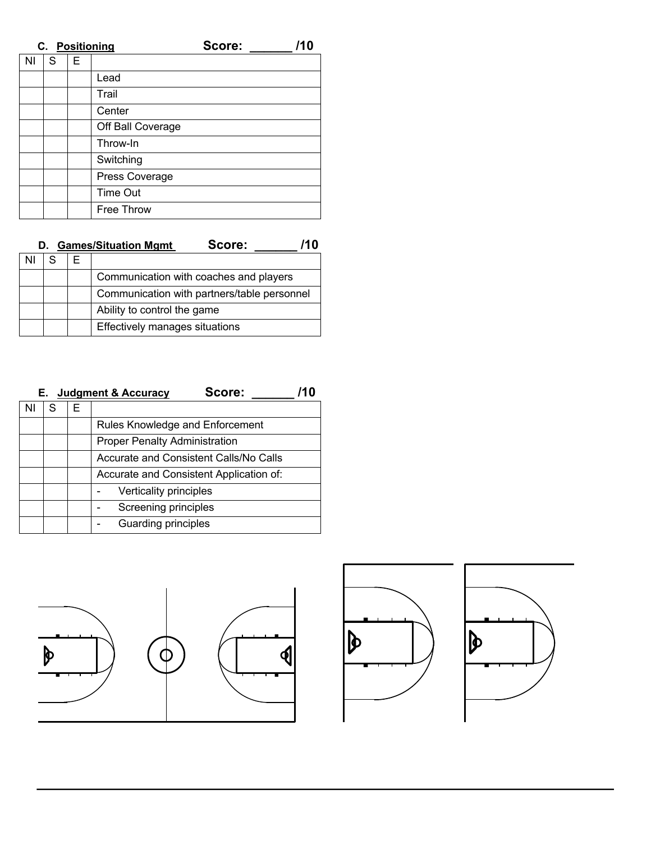|           | C. Positioning |   | Score:            | /10 |  |
|-----------|----------------|---|-------------------|-----|--|
| <b>NI</b> | S              | E |                   |     |  |
|           |                |   | Lead              |     |  |
|           |                |   | Trail             |     |  |
|           |                |   | Center            |     |  |
|           |                |   | Off Ball Coverage |     |  |
|           |                |   | Throw-In          |     |  |
|           |                |   | Switching         |     |  |
|           |                |   | Press Coverage    |     |  |
|           |                |   | <b>Time Out</b>   |     |  |
|           |                |   | <b>Free Throw</b> |     |  |

| Score:<br>D. Games/Situation Mgmt | /10 |
|-----------------------------------|-----|
|-----------------------------------|-----|

|  | Communication with coaches and players      |
|--|---------------------------------------------|
|  | Communication with partners/table personnel |
|  | Ability to control the game                 |
|  | Effectively manages situations              |

| Score:<br><b>Judgment &amp; Accuracy</b><br>Е. . |   |   |                                         |  |  |  |
|--------------------------------------------------|---|---|-----------------------------------------|--|--|--|
| ΝI                                               | S | F |                                         |  |  |  |
|                                                  |   |   | Rules Knowledge and Enforcement         |  |  |  |
|                                                  |   |   | <b>Proper Penalty Administration</b>    |  |  |  |
|                                                  |   |   | Accurate and Consistent Calls/No Calls  |  |  |  |
|                                                  |   |   | Accurate and Consistent Application of: |  |  |  |
|                                                  |   |   | Verticality principles                  |  |  |  |
|                                                  |   |   | Screening principles                    |  |  |  |
|                                                  |   |   | Guarding principles                     |  |  |  |